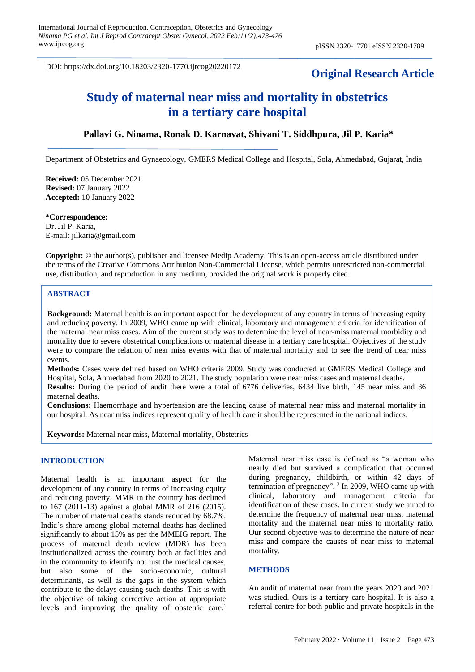DOI: https://dx.doi.org/10.18203/2320-1770.ijrcog20220172

## **Original Research Article**

# **Study of maternal near miss and mortality in obstetrics in a tertiary care hospital**

## **Pallavi G. Ninama, Ronak D. Karnavat, Shivani T. Siddhpura, Jil P. Karia\***

Department of Obstetrics and Gynaecology, GMERS Medical College and Hospital, Sola, Ahmedabad, Gujarat, India

**Received:** 05 December 2021 **Revised:** 07 January 2022 **Accepted:** 10 January 2022

**\*Correspondence:** Dr. Jil P. Karia, E-mail: [jilkaria@gmail.com](mailto:jilkaria@gmail.com)

**Copyright:** © the author(s), publisher and licensee Medip Academy. This is an open-access article distributed under the terms of the Creative Commons Attribution Non-Commercial License, which permits unrestricted non-commercial use, distribution, and reproduction in any medium, provided the original work is properly cited.

## **ABSTRACT**

**Background:** Maternal health is an important aspect for the development of any country in terms of increasing equity and reducing poverty. In 2009, WHO came up with clinical, laboratory and management criteria for identification of the maternal near miss cases. Aim of the current study was to determine the level of near-miss maternal morbidity and mortality due to severe obstetrical complications or maternal disease in a tertiary care hospital. Objectives of the study were to compare the relation of near miss events with that of maternal mortality and to see the trend of near miss events.

**Methods:** Cases were defined based on WHO criteria 2009. Study was conducted at GMERS Medical College and Hospital, Sola, Ahmedabad from 2020 to 2021. The study population were near miss cases and maternal deaths. **Results:** During the period of audit there were a total of 6776 deliveries, 6434 live birth, 145 near miss and 36 maternal deaths.

**Conclusions:** Haemorrhage and hypertension are the leading cause of maternal near miss and maternal mortality in our hospital. As near miss indices represent quality of health care it should be represented in the national indices.

**Keywords:** Maternal near miss, Maternal mortality, Obstetrics

### **INTRODUCTION**

Maternal health is an important aspect for the development of any country in terms of increasing equity and reducing poverty. MMR in the country has declined to 167 (2011-13) against a global MMR of 216 (2015). The number of maternal deaths stands reduced by 68.7%. India's share among global maternal deaths has declined significantly to about 15% as per the MMEIG report. The process of maternal death review (MDR) has been institutionalized across the country both at facilities and in the community to identify not just the medical causes, but also some of the socio-economic, cultural determinants, as well as the gaps in the system which contribute to the delays causing such deaths. This is with the objective of taking corrective action at appropriate levels and improving the quality of obstetric care.<sup>1</sup>

Maternal near miss case is defined as "a woman who nearly died but survived a complication that occurred during pregnancy, childbirth, or within 42 days of termination of pregnancy".  $2 \text{ In } 2009$ , WHO came up with clinical, laboratory and management criteria for identification of these cases. In current study we aimed to determine the frequency of maternal near miss, maternal mortality and the maternal near miss to mortality ratio. Our second objective was to determine the nature of near miss and compare the causes of near miss to maternal mortality.

#### **METHODS**

An audit of maternal near from the years 2020 and 2021 was studied. Ours is a tertiary care hospital. It is also a referral centre for both public and private hospitals in the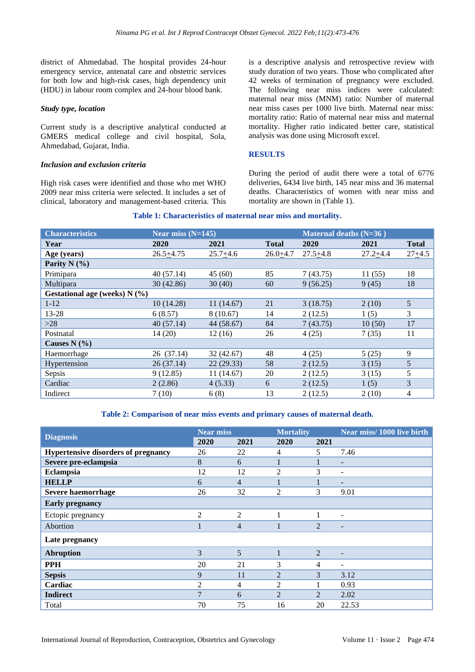district of Ahmedabad. The hospital provides 24-hour emergency service, antenatal care and obstetric services for both low and high-risk cases, high dependency unit (HDU) in labour room complex and 24-hour blood bank.

#### *Study type, location*

Current study is a descriptive analytical conducted at GMERS medical college and civil hospital, Sola, Ahmedabad, Gujarat, India.

#### *Inclusion and exclusion criteria*

High risk cases were identified and those who met WHO 2009 near miss criteria were selected. It includes a set of clinical, laboratory and management-based criteria. This is a descriptive analysis and retrospective review with study duration of two years. Those who complicated after 42 weeks of termination of pregnancy were excluded. The following near miss indices were calculated: maternal near miss (MNM) ratio: Number of maternal near miss cases per 1000 live birth. Maternal near miss: mortality ratio: Ratio of maternal near miss and maternal mortality. Higher ratio indicated better care, statistical analysis was done using Microsoft excel.

#### **RESULTS**

During the period of audit there were a total of 6776 deliveries, 6434 live birth, 145 near miss and 36 maternal deaths. Characteristics of women with near miss and mortality are shown in (Table 1).

| <b>Characteristics</b>          | Near miss (N=145) |              |              | Maternal deaths $(N=36)$ |              |              |  |
|---------------------------------|-------------------|--------------|--------------|--------------------------|--------------|--------------|--|
| Year                            | 2020              | 2021         | <b>Total</b> | 2020                     | 2021         | <b>Total</b> |  |
| Age (years)                     | $26.5 + 4.75$     | $25.7 + 4.6$ | $26.0 + 4.7$ | $27.5 + 4.8$             | $27.2 + 4.4$ | $27 + 4.5$   |  |
| Parity $N$ (%)                  |                   |              |              |                          |              |              |  |
| Primipara                       | 40(57.14)         | 45(60)       | 85           | 7(43.75)                 | 11(55)       | 18           |  |
| Multipara                       | 30(42.86)         | 30(40)       | 60           | 9(56.25)                 | 9(45)        | 18           |  |
| Gestational age (weeks) $N$ (%) |                   |              |              |                          |              |              |  |
| $1 - 12$                        | 10(14.28)         | 11(14.67)    | 21           | 3(18.75)                 | 2(10)        | 5            |  |
| 13-28                           | 6(8.57)           | 8(10.67)     | 14           | 2(12.5)                  | 1(5)         | 3            |  |
| $>28$                           | 40(57.14)         | 44 (58.67)   | 84           | 7(43.75)                 | 10(50)       | 17           |  |
| Postnatal                       | 14(20)            | 12(16)       | 26           | 4(25)                    | 7(35)        | 11           |  |
| Causes $N(\% )$                 |                   |              |              |                          |              |              |  |
| Haemorrhage                     | 26 (37.14)        | 32 (42.67)   | 48           | 4(25)                    | 5(25)        | 9            |  |
| Hypertension                    | 26(37.14)         | 22(29.33)    | 58           | 2(12.5)                  | 3(15)        | 5            |  |
| Sepsis                          | 9(12.85)          | 11 (14.67)   | 20           | 2(12.5)                  | 3(15)        | 5            |  |
| Cardiac                         | 2(2.86)           | 4(5.33)      | 6            | 2(12.5)                  | 1(5)         | 3            |  |
| Indirect                        | 7(10)             | 6(8)         | 13           | 2(12.5)                  | 2(10)        | 4            |  |

## **Table 1: Characteristics of maternal near miss and mortality.**

#### **Table 2: Comparison of near miss events and primary causes of maternal death.**

|                                     | <b>Near miss</b> |                | <b>Mortality</b>            |                | Near miss/1000 live birth |
|-------------------------------------|------------------|----------------|-----------------------------|----------------|---------------------------|
| <b>Diagnosis</b>                    | 2020             | 2021           | 2020                        | 2021           |                           |
| Hypertensive disorders of pregnancy | 26               | 22             | 4                           | 5              | 7.46                      |
| Severe pre-eclampsia                | 8                | 6              | 1                           |                | -                         |
| Eclampsia                           | 12               | 12             | 2                           | 3              | ۰                         |
| <b>HELLP</b>                        | 6                | $\overline{4}$ | н.                          |                | -                         |
| <b>Severe haemorrhage</b>           | 26               | 32             | 2                           | 3              | 9.01                      |
| <b>Early pregnancy</b>              |                  |                |                             |                |                           |
| Ectopic pregnancy                   | 2                | $\overline{2}$ | 1                           |                | ٠                         |
| Abortion                            |                  | $\overline{4}$ | 1                           | $\mathfrak{D}$ | -                         |
| Late pregnancy                      |                  |                |                             |                |                           |
| <b>Abruption</b>                    | 3                | 5              | 1                           | 2              | -                         |
| <b>PPH</b>                          | 20               | 21             | 3                           | 4              | ۰                         |
| <b>Sepsis</b>                       | 9                | 11             | 2                           | 3              | 3.12                      |
| Cardiac                             | 2                | 4              | 2                           |                | 0.93                      |
| <b>Indirect</b>                     | 7                | 6              | $\mathcal{D}_{\mathcal{L}}$ | $\mathfrak{D}$ | 2.02                      |
| Total                               | 70               | 75             | 16                          | 20             | 22.53                     |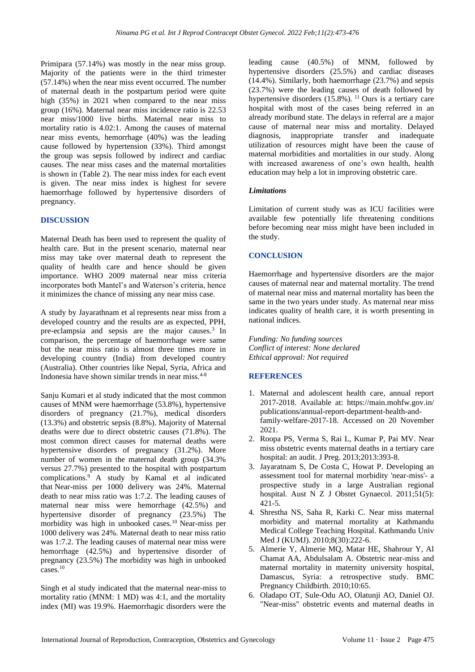Primipara (57.14%) was mostly in the near miss group. Majority of the patients were in the third trimester (57.14%) when the near miss event occurred. The number of maternal death in the postpartum period were quite high (35%) in 2021 when compared to the near miss group (16%). Maternal near miss incidence ratio is 22.53 near miss/1000 live births. Maternal near miss to mortality ratio is 4.02:1. Among the causes of maternal near miss events, hemorrhage (40%) was the leading cause followed by hypertension (33%). Third amongst the group was sepsis followed by indirect and cardiac causes. The near miss cases and the maternal mortalities is shown in (Table 2). The near miss index for each event is given. The near miss index is highest for severe haemorrhage followed by hypertensive disorders of pregnancy.

#### **DISCUSSION**

Maternal Death has been used to represent the quality of health care. But in the present scenario, maternal near miss may take over maternal death to represent the quality of health care and hence should be given importance. WHO 2009 maternal near miss criteria incorporates both Mantel's and Waterson's criteria, hence it minimizes the chance of missing any near miss case.

A study by Jayarathnam et al represents near miss from a developed country and the results are as expected, PPH, pre-eclampsia and sepsis are the major causes.<sup>3</sup> In comparison, the percentage of haemorrhage were same but the near miss ratio is almost three times more in developing country (India) from developed country (Australia). Other countries like Nepal, Syria, Africa and Indonesia have shown similar trends in near miss.<sup>4-8</sup>

Sanju Kumari et al study indicated that the most common causes of MNM were haemorrhage (53.8%), hypertensive disorders of pregnancy (21.7%), medical disorders (13.3%) and obstetric sepsis (8.8%). Majority of Maternal deaths were due to direct obstetric causes (71.8%). The most common direct causes for maternal deaths were hypertensive disorders of pregnancy (31.2%). More number of women in the maternal death group (34.3% versus 27.7%) presented to the hospital with postpartum complications.<sup>9</sup> A study by Kamal et al indicated that Near-miss per 1000 delivery was 24%. Maternal death to near miss ratio was 1:7.2. The leading causes of maternal near miss were hemorrhage (42.5%) and hypertensive disorder of pregnancy (23.5%) The morbidity was high in unbooked cases.<sup>10</sup> Near-miss per 1000 delivery was 24%. Maternal death to near miss ratio was 1:7.2. The leading causes of maternal near miss were hemorrhage (42.5%) and hypertensive disorder of pregnancy (23.5%) The morbidity was high in unbooked cases.<sup>10</sup>

Singh et al study indicated that the maternal near-miss to mortality ratio (MNM: 1 MD) was 4:1, and the mortality index (MI) was 19.9%. Haemorrhagic disorders were the leading cause (40.5%) of MNM, followed by hypertensive disorders (25.5%) and cardiac diseases (14.4%). Similarly, both haemorrhage (23.7%) and sepsis (23.7%) were the leading causes of death followed by hypertensive disorders  $(15.8\%)$ . <sup>11</sup> Ours is a tertiary care hospital with most of the cases being referred in an already moribund state. The delays in referral are a major cause of maternal near miss and mortality. Delayed diagnosis, inappropriate transfer and inadequate utilization of resources might have been the cause of maternal morbidities and mortalities in our study. Along with increased awareness of one's own health, health education may help a lot in improving obstetric care.

#### *Limitations*

Limitation of current study was as ICU facilities were available few potentially life threatening conditions before becoming near miss might have been included in the study.

#### **CONCLUSION**

Haemorrhage and hypertensive disorders are the major causes of maternal near and maternal mortality. The trend of maternal near miss and maternal mortality has been the same in the two years under study. As maternal near miss indicates quality of health care, it is worth presenting in national indices.

*Funding: No funding sources Conflict of interest: None declared Ethical approval: Not required*

#### **REFERENCES**

- 1. Maternal and adolescent health care, annual report 2017-2018. Available at: [https://main.mohfw.gov.in/](https://main.mohfw.gov.in/%20publications/annual-report-department-health-and-family-welfare-2017-18)  [publications/annual-report-department-health-and](https://main.mohfw.gov.in/%20publications/annual-report-department-health-and-family-welfare-2017-18)[family-welfare-2017-18.](https://main.mohfw.gov.in/%20publications/annual-report-department-health-and-family-welfare-2017-18) Accessed on 20 November 2021.
- 2. Roopa PS, Verma S, Rai L, Kumar P, Pai MV. Near miss obstetric events maternal deaths in a tertiary care hospital: an audit. J Preg. 2013;2013:393-8.
- 3. Jayaratnam S, De Costa C, Howat P. Developing an assessment tool for maternal morbidity 'near-miss'- a prospective study in a large Australian regional hospital. Aust N Z J Obstet Gynaecol. 2011;51(5): 421-5.
- 4. Shrestha NS, Saha R, Karki C. Near miss maternal morbidity and maternal mortality at Kathmandu Medical College Teaching Hospital. Kathmandu Univ Med J (KUMJ). 2010;8(30):222-6.
- 5. Almerie Y, Almerie MQ, Matar HE, Shahrour Y, Al Chamat AA, Abdulsalam A. Obstetric near-miss and maternal mortality in maternity university hospital, Damascus, Syria: a retrospective study. BMC Pregnancy Childbirth. 2010;10:65.
- 6. Oladapo OT, Sule-Odu AO, Olatunji AO, Daniel OJ. "Near-miss" obstetric events and maternal deaths in